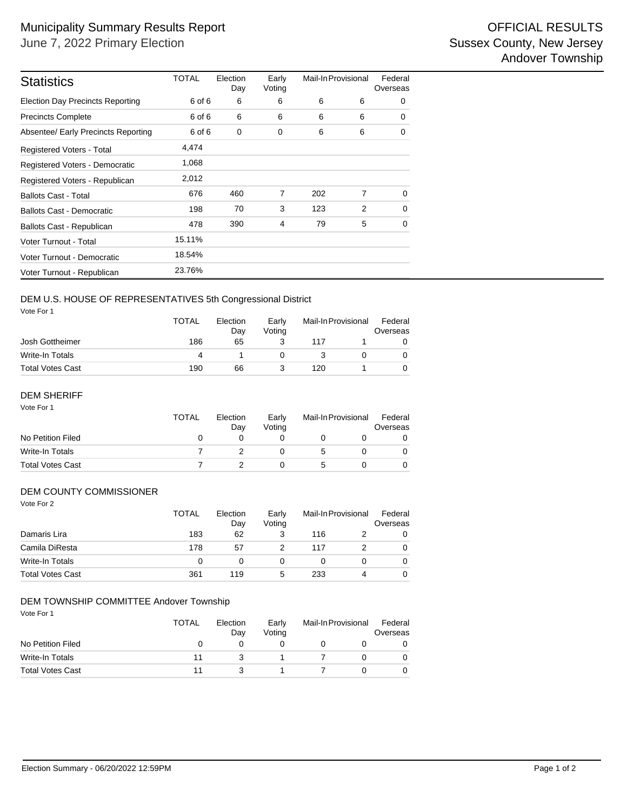| <b>Statistics</b>                       | TOTAL  | Election<br>Day | Early<br>Voting | Mail-In Provisional |   | Federal<br>Overseas |
|-----------------------------------------|--------|-----------------|-----------------|---------------------|---|---------------------|
| <b>Election Day Precincts Reporting</b> | 6 of 6 | 6               | 6               | 6                   | 6 | 0                   |
| <b>Precincts Complete</b>               | 6 of 6 | 6               | 6               | 6                   | 6 | 0                   |
| Absentee/ Early Precincts Reporting     | 6 of 6 | 0               | 0               | 6                   | 6 | 0                   |
| Registered Voters - Total               | 4,474  |                 |                 |                     |   |                     |
| Registered Voters - Democratic          | 1,068  |                 |                 |                     |   |                     |
| Registered Voters - Republican          | 2,012  |                 |                 |                     |   |                     |
| <b>Ballots Cast - Total</b>             | 676    | 460             | 7               | 202                 | 7 | $\Omega$            |
| <b>Ballots Cast - Democratic</b>        | 198    | 70              | 3               | 123                 | 2 | $\Omega$            |
| Ballots Cast - Republican               | 478    | 390             | $\overline{4}$  | 79                  | 5 | 0                   |
| Voter Turnout - Total                   | 15.11% |                 |                 |                     |   |                     |
| Voter Turnout - Democratic              | 18.54% |                 |                 |                     |   |                     |
| Voter Turnout - Republican              | 23.76% |                 |                 |                     |   |                     |

## DEM U.S. HOUSE OF REPRESENTATIVES 5th Congressional District

Vote For 1

|                         | <b>TOTAL</b> | Election<br>Dav | Early<br>Votina | Mail-In Provisional |  | Federal<br>Overseas |  |
|-------------------------|--------------|-----------------|-----------------|---------------------|--|---------------------|--|
| Josh Gottheimer         | 186          | 65              |                 | 117                 |  |                     |  |
| Write-In Totals         | 4            |                 |                 |                     |  |                     |  |
| <b>Total Votes Cast</b> | 190          | 66              |                 | 120                 |  |                     |  |

#### Vote For 1 DEM SHERIFF

|                         | <b>TOTAL</b> | Election<br>Dav | Early<br>Votina | Mail-In Provisional | Federal<br>Overseas |
|-------------------------|--------------|-----------------|-----------------|---------------------|---------------------|
| No Petition Filed       |              |                 |                 |                     |                     |
| Write-In Totals         |              |                 |                 |                     |                     |
| <b>Total Votes Cast</b> |              |                 |                 |                     |                     |

#### DEM COUNTY COMMISSIONER

| Vote For 2              | <b>TOTAL</b> | Election | Early  | Mail-In Provisional |   | Federal  |
|-------------------------|--------------|----------|--------|---------------------|---|----------|
|                         |              | Day      | Voting |                     |   | Overseas |
| Damaris Lira            | 183          | 62       | 3      | 116                 |   | 0        |
| Camila DiResta          | 178          | 57       |        | 117                 | 2 | $\Omega$ |
| <b>Write-In Totals</b>  | 0            | 0        | 0      | 0                   | 0 | 0        |
| <b>Total Votes Cast</b> | 361          | 119      | 5      | 233                 | 4 | $\Omega$ |

#### DEM TOWNSHIP COMMITTEE Andover Township

Vote For 1

|                         | <b>TOTAL</b><br>Election<br>Dav |  | Early<br>Votina | Mail-In Provisional |  | Federal<br>Overseas |  |
|-------------------------|---------------------------------|--|-----------------|---------------------|--|---------------------|--|
| No Petition Filed       |                                 |  |                 |                     |  |                     |  |
| Write-In Totals         | 11                              |  |                 |                     |  |                     |  |
| <b>Total Votes Cast</b> | 11                              |  |                 |                     |  |                     |  |